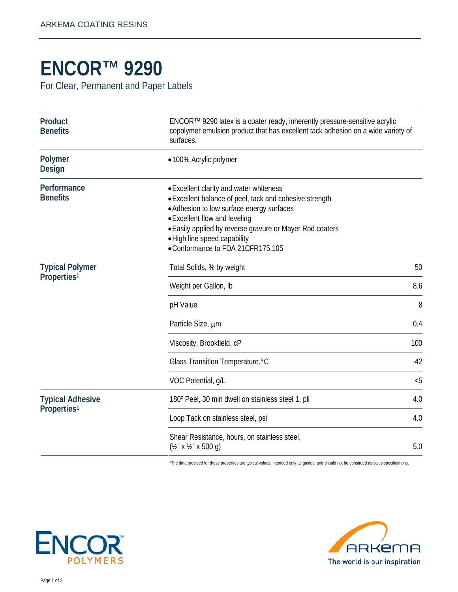## **ENCOR™ 9290**

For Clear, Permanent and Paper Labels

| Product<br><b>Benefits</b>                         | ENCOR™ 9290 latex is a coater ready, inherently pressure-sensitive acrylic<br>copolymer emulsion product that has excellent tack adhesion on a wide variety of<br>surfaces.                                                                                                                                      |       |
|----------------------------------------------------|------------------------------------------------------------------------------------------------------------------------------------------------------------------------------------------------------------------------------------------------------------------------------------------------------------------|-------|
| Polymer<br><b>Design</b>                           | •100% Acrylic polymer                                                                                                                                                                                                                                                                                            |       |
| Performance<br><b>Benefits</b>                     | • Excellent clarity and water whiteness<br>• Excellent balance of peel, tack and cohesive strength<br>• Adhesion to low surface energy surfaces<br>• Excellent flow and leveling<br>• Easily applied by reverse gravure or Mayer Rod coaters<br>• High line speed capability<br>•Conformance to FDA 21CFR175.105 |       |
| <b>Typical Polymer</b><br>Properties <sup>1</sup>  | Total Solids, % by weight                                                                                                                                                                                                                                                                                        | 50    |
|                                                    | Weight per Gallon, Ib                                                                                                                                                                                                                                                                                            | 8.6   |
|                                                    | pH Value                                                                                                                                                                                                                                                                                                         | 8     |
|                                                    | Particle Size, um                                                                                                                                                                                                                                                                                                | 0.4   |
|                                                    | Viscosity, Brookfield, cP                                                                                                                                                                                                                                                                                        | 100   |
|                                                    | Glass Transition Temperature, °C                                                                                                                                                                                                                                                                                 | $-42$ |
|                                                    | VOC Potential, g/L                                                                                                                                                                                                                                                                                               | < 5   |
| <b>Typical Adhesive</b><br>Properties <sup>1</sup> | 180° Peel, 30 min dwell on stainless steel 1, pli                                                                                                                                                                                                                                                                | 4.0   |
|                                                    | Loop Tack on stainless steel, psi                                                                                                                                                                                                                                                                                | 4.0   |
|                                                    | Shear Resistance, hours, on stainless steel,<br>$(\frac{1}{2}$ " x 1/2" x 500 q)                                                                                                                                                                                                                                 | 5.0   |

1The data provided for these properties are typical values, intended only as guides, and should not be construed as sales specifications.